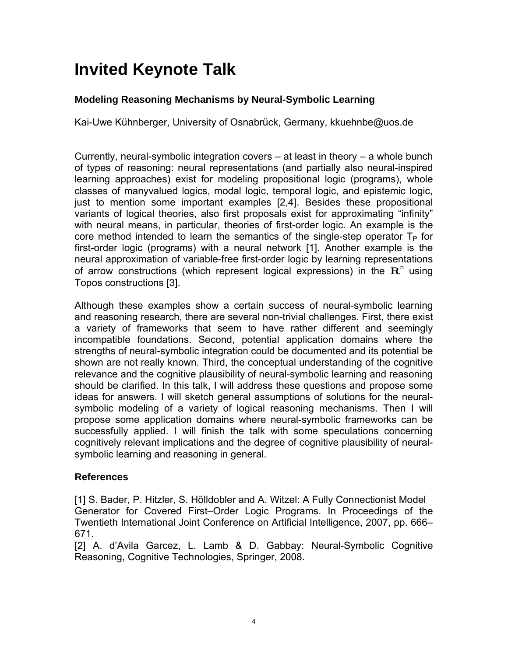## **Invited Keynote Talk**

## **Modeling Reasoning Mechanisms by Neural-Symbolic Learning**

Kai-Uwe Kühnberger, University of Osnabrück, Germany, kkuehnbe@uos.de

Currently, neural-symbolic integration covers – at least in theory – a whole bunch of types of reasoning: neural representations (and partially also neural-inspired learning approaches) exist for modeling propositional logic (programs), whole classes of manyvalued logics, modal logic, temporal logic, and epistemic logic, just to mention some important examples [2,4]. Besides these propositional variants of logical theories, also first proposals exist for approximating "infinity" with neural means, in particular, theories of first-order logic. An example is the core method intended to learn the semantics of the single-step operator  $T_P$  for first-order logic (programs) with a neural network [1]. Another example is the neural approximation of variable-free first-order logic by learning representations of arrow constructions (which represent logical expressions) in the  $\mathbf{R}^n$  using Topos constructions [3].

Although these examples show a certain success of neural-symbolic learning and reasoning research, there are several non-trivial challenges. First, there exist a variety of frameworks that seem to have rather different and seemingly incompatible foundations. Second, potential application domains where the strengths of neural-symbolic integration could be documented and its potential be shown are not really known. Third, the conceptual understanding of the cognitive relevance and the cognitive plausibility of neural-symbolic learning and reasoning should be clarified. In this talk, I will address these questions and propose some ideas for answers. I will sketch general assumptions of solutions for the neuralsymbolic modeling of a variety of logical reasoning mechanisms. Then I will propose some application domains where neural-symbolic frameworks can be successfully applied. I will finish the talk with some speculations concerning cognitively relevant implications and the degree of cognitive plausibility of neuralsymbolic learning and reasoning in general.

## **References**

[1] S. Bader, P. Hitzler, S. Hölldobler and A. Witzel: A Fully Connectionist Model Generator for Covered First–Order Logic Programs. In Proceedings of the Twentieth International Joint Conference on Artificial Intelligence, 2007, pp. 666– 671.

[2] A. d'Avila Garcez, L. Lamb & D. Gabbay: Neural-Symbolic Cognitive Reasoning, Cognitive Technologies, Springer, 2008.